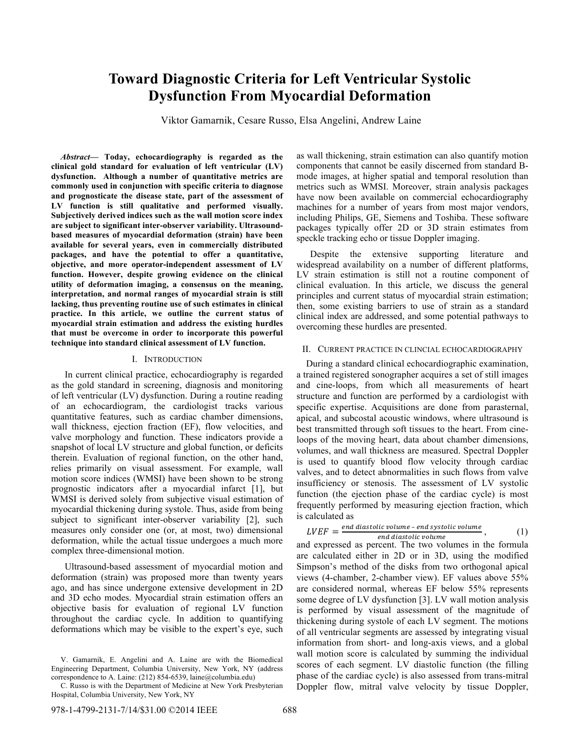# **Toward Diagnostic Criteria for Left Ventricular Systolic Dysfunction From Myocardial Deformation**

Viktor Gamarnik, Cesare Russo, Elsa Angelini, Andrew Laine

*Abstract***— Today, echocardiography is regarded as the clinical gold standard for evaluation of left ventricular (LV) dysfunction. Although a number of quantitative metrics are commonly used in conjunction with specific criteria to diagnose and prognosticate the disease state, part of the assessment of LV function is still qualitative and performed visually. Subjectively derived indices such as the wall motion score index are subject to significant inter-observer variability. Ultrasoundbased measures of myocardial deformation (strain) have been available for several years, even in commercially distributed packages, and have the potential to offer a quantitative, objective, and more operator-independent assessment of LV function. However, despite growing evidence on the clinical utility of deformation imaging, a consensus on the meaning, interpretation, and normal ranges of myocardial strain is still lacking, thus preventing routine use of such estimates in clinical practice. In this article, we outline the current status of myocardial strain estimation and address the existing hurdles that must be overcome in order to incorporate this powerful technique into standard clinical assessment of LV function.**

#### I. INTRODUCTION

In current clinical practice, echocardiography is regarded as the gold standard in screening, diagnosis and monitoring of left ventricular (LV) dysfunction. During a routine reading of an echocardiogram, the cardiologist tracks various quantitative features, such as cardiac chamber dimensions, wall thickness, ejection fraction (EF), flow velocities, and valve morphology and function. These indicators provide a snapshot of local LV structure and global function, or deficits therein. Evaluation of regional function, on the other hand, relies primarily on visual assessment. For example, wall motion score indices (WMSI) have been shown to be strong prognostic indicators after a myocardial infarct [1], but WMSI is derived solely from subjective visual estimation of myocardial thickening during systole. Thus, aside from being subject to significant inter-observer variability [2], such measures only consider one (or, at most, two) dimensional deformation, while the actual tissue undergoes a much more complex three-dimensional motion.

Ultrasound-based assessment of myocardial motion and deformation (strain) was proposed more than twenty years ago, and has since undergone extensive development in 2D and 3D echo modes. Myocardial strain estimation offers an objective basis for evaluation of regional LV function throughout the cardiac cycle. In addition to quantifying deformations which may be visible to the expert's eye, such as wall thickening, strain estimation can also quantify motion components that cannot be easily discerned from standard Bmode images, at higher spatial and temporal resolution than metrics such as WMSI. Moreover, strain analysis packages have now been available on commercial echocardiography machines for a number of years from most major vendors, including Philips, GE, Siemens and Toshiba. These software packages typically offer 2D or 3D strain estimates from speckle tracking echo or tissue Doppler imaging.

Despite the extensive supporting literature and widespread availability on a number of different platforms, LV strain estimation is still not a routine component of clinical evaluation. In this article, we discuss the general principles and current status of myocardial strain estimation; then, some existing barriers to use of strain as a standard clinical index are addressed, and some potential pathways to overcoming these hurdles are presented.

#### II. CURRENT PRACTICE IN CLINCIAL ECHOCARDIOGRAPHY

During a standard clinical echocardiographic examination, a trained registered sonographer acquires a set of still images and cine-loops, from which all measurements of heart structure and function are performed by a cardiologist with specific expertise. Acquisitions are done from parasternal, apical, and subcostal acoustic windows, where ultrasound is best transmitted through soft tissues to the heart. From cineloops of the moving heart, data about chamber dimensions, volumes, and wall thickness are measured. Spectral Doppler is used to quantify blood flow velocity through cardiac valves, and to detect abnormalities in such flows from valve insufficiency or stenosis. The assessment of LV systolic function (the ejection phase of the cardiac cycle) is most frequently performed by measuring ejection fraction, which is calculated as

$$
LVEF = \frac{end\,diastolic\,volume - end\,systolic\,volume}{end\,distolic\,volume},\tag{1}
$$

and expressed as percent. The two volumes in the formula are calculated either in 2D or in 3D, using the modified Simpson's method of the disks from two orthogonal apical views (4-chamber, 2-chamber view). EF values above 55% are considered normal, whereas EF below 55% represents some degree of LV dysfunction [3]. LV wall motion analysis is performed by visual assessment of the magnitude of thickening during systole of each LV segment. The motions of all ventricular segments are assessed by integrating visual information from short- and long-axis views, and a global wall motion score is calculated by summing the individual scores of each segment. LV diastolic function (the filling phase of the cardiac cycle) is also assessed from trans-mitral Doppler flow, mitral valve velocity by tissue Doppler,

V. Gamarnik, E. Angelini and A. Laine are with the Biomedical Engineering Department, Columbia University, New York, NY (address correspondence to A. Laine: (212) 854-6539, laine@columbia.edu)

C. Russo is with the Department of Medicine at New York Presbyterian Hospital, Columbia University, New York, NY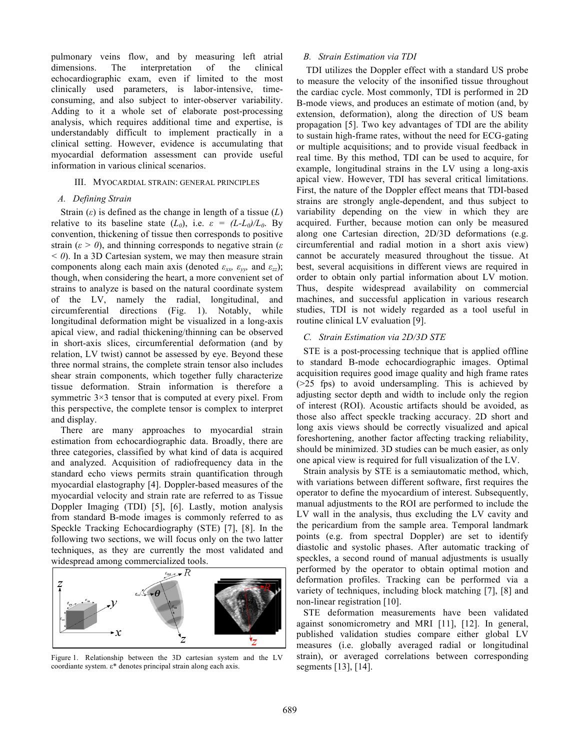pulmonary veins flow, and by measuring left atrial dimensions. The interpretation of the clinical echocardiographic exam, even if limited to the most clinically used parameters, is labor-intensive, timeconsuming, and also subject to inter-observer variability. Adding to it a whole set of elaborate post-processing analysis, which requires additional time and expertise, is understandably difficult to implement practically in a clinical setting. However, evidence is accumulating that myocardial deformation assessment can provide useful information in various clinical scenarios.

## III. MYOCARDIAL STRAIN: GENERAL PRINCIPLES

#### *A. Defining Strain*

Strain  $(\varepsilon)$  is defined as the change in length of a tissue  $(L)$ relative to its baseline state  $(L_0)$ , i.e.  $\varepsilon = (L - L_0)/L_0$ . By convention, thickening of tissue then corresponds to positive strain ( $\varepsilon > 0$ ), and thinning corresponds to negative strain ( $\varepsilon$  $\langle 0 \rangle$ . In a 3D Cartesian system, we may then measure strain components along each main axis (denoted  $\varepsilon_{xx}$ ,  $\varepsilon_{yy}$ , and  $\varepsilon_{zz}$ ); though, when considering the heart, a more convenient set of strains to analyze is based on the natural coordinate system of the LV, namely the radial, longitudinal, and circumferential directions (Fig. 1). Notably, while longitudinal deformation might be visualized in a long-axis apical view, and radial thickening/thinning can be observed in short-axis slices, circumferential deformation (and by relation, LV twist) cannot be assessed by eye. Beyond these three normal strains, the complete strain tensor also includes shear strain components, which together fully characterize tissue deformation. Strain information is therefore a symmetric  $3\times3$  tensor that is computed at every pixel. From this perspective, the complete tensor is complex to interpret and display.

There are many approaches to myocardial strain estimation from echocardiographic data. Broadly, there are three categories, classified by what kind of data is acquired and analyzed. Acquisition of radiofrequency data in the standard echo views permits strain quantification through myocardial elastography [4]. Doppler-based measures of the myocardial velocity and strain rate are referred to as Tissue Doppler Imaging (TDI) [5], [6]. Lastly, motion analysis from standard B-mode images is commonly referred to as Speckle Tracking Echocardiography (STE) [7], [8]. In the following two sections, we will focus only on the two latter techniques, as they are currently the most validated and widespread among commercialized tools.



Figure 1. Relationship between the 3D cartesian system and the LV coordiante system. ε\* denotes principal strain along each axis.

## *B. Strain Estimation via TDI*

TDI utilizes the Doppler effect with a standard US probe to measure the velocity of the insonified tissue throughout the cardiac cycle. Most commonly, TDI is performed in 2D B-mode views, and produces an estimate of motion (and, by extension, deformation), along the direction of US beam propagation [5]. Two key advantages of TDI are the ability to sustain high-frame rates, without the need for ECG-gating or multiple acquisitions; and to provide visual feedback in real time. By this method, TDI can be used to acquire, for example, longitudinal strains in the LV using a long-axis apical view. However, TDI has several critical limitations. First, the nature of the Doppler effect means that TDI-based strains are strongly angle-dependent, and thus subject to variability depending on the view in which they are acquired. Further, because motion can only be measured along one Cartesian direction, 2D/3D deformations (e.g. circumferential and radial motion in a short axis view) cannot be accurately measured throughout the tissue. At best, several acquisitions in different views are required in order to obtain only partial information about LV motion. Thus, despite widespread availability on commercial machines, and successful application in various research studies, TDI is not widely regarded as a tool useful in routine clinical LV evaluation [9].

#### *C. Strain Estimation via 2D/3D STE*

STE is a post-processing technique that is applied offline to standard B-mode echocardiographic images. Optimal acquisition requires good image quality and high frame rates (>25 fps) to avoid undersampling. This is achieved by adjusting sector depth and width to include only the region of interest (ROI). Acoustic artifacts should be avoided, as those also affect speckle tracking accuracy. 2D short and long axis views should be correctly visualized and apical foreshortening, another factor affecting tracking reliability, should be minimized. 3D studies can be much easier, as only one apical view is required for full visualization of the LV.

Strain analysis by STE is a semiautomatic method, which, with variations between different software, first requires the operator to define the myocardium of interest. Subsequently, manual adjustments to the ROI are performed to include the LV wall in the analysis, thus excluding the LV cavity and the pericardium from the sample area. Temporal landmark points (e.g. from spectral Doppler) are set to identify diastolic and systolic phases. After automatic tracking of speckles, a second round of manual adjustments is usually performed by the operator to obtain optimal motion and deformation profiles. Tracking can be performed via a variety of techniques, including block matching [7], [8] and non-linear registration [10].

STE deformation measurements have been validated against sonomicrometry and MRI [11], [12]. In general, published validation studies compare either global LV measures (i.e. globally averaged radial or longitudinal strain), or averaged correlations between corresponding segments [13], [14].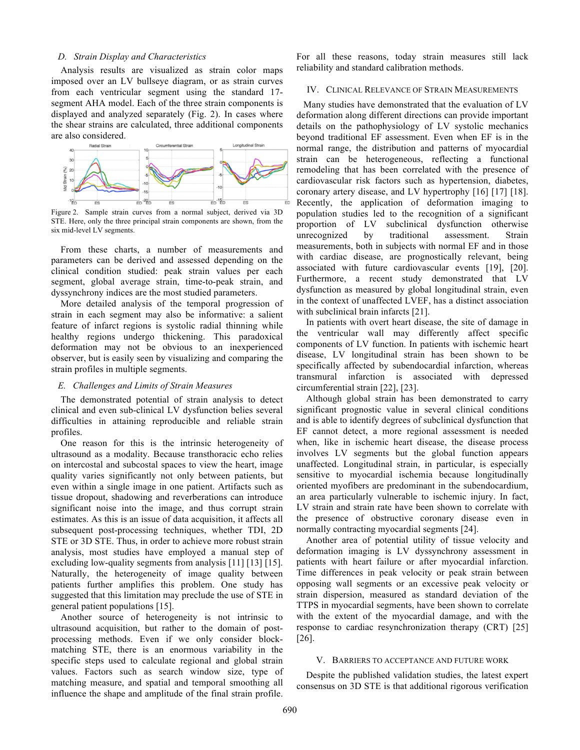## *D. Strain Display and Characteristics*

Analysis results are visualized as strain color maps imposed over an LV bullseye diagram, or as strain curves from each ventricular segment using the standard 17 segment AHA model. Each of the three strain components is displayed and analyzed separately (Fig. 2). In cases where the shear strains are calculated, three additional components are also considered.



Figure 2. Sample strain curves from a normal subject, derived via 3D STE. Here, only the three principal strain components are shown, from the six mid-level LV segments.

From these charts, a number of measurements and parameters can be derived and assessed depending on the clinical condition studied: peak strain values per each segment, global average strain, time-to-peak strain, and dyssynchrony indices are the most studied parameters.

More detailed analysis of the temporal progression of strain in each segment may also be informative: a salient feature of infarct regions is systolic radial thinning while healthy regions undergo thickening. This paradoxical deformation may not be obvious to an inexperienced observer, but is easily seen by visualizing and comparing the strain profiles in multiple segments.

## *E. Challenges and Limits of Strain Measures*

The demonstrated potential of strain analysis to detect clinical and even sub-clinical LV dysfunction belies several difficulties in attaining reproducible and reliable strain profiles.

One reason for this is the intrinsic heterogeneity of ultrasound as a modality. Because transthoracic echo relies on intercostal and subcostal spaces to view the heart, image quality varies significantly not only between patients, but even within a single image in one patient. Artifacts such as tissue dropout, shadowing and reverberations can introduce significant noise into the image, and thus corrupt strain estimates. As this is an issue of data acquisition, it affects all subsequent post-processing techniques, whether TDI, 2D STE or 3D STE. Thus, in order to achieve more robust strain analysis, most studies have employed a manual step of excluding low-quality segments from analysis [11] [13] [15]. Naturally, the heterogeneity of image quality between patients further amplifies this problem. One study has suggested that this limitation may preclude the use of STE in general patient populations [15].

Another source of heterogeneity is not intrinsic to ultrasound acquisition, but rather to the domain of postprocessing methods. Even if we only consider blockmatching STE, there is an enormous variability in the specific steps used to calculate regional and global strain values. Factors such as search window size, type of matching measure, and spatial and temporal smoothing all influence the shape and amplitude of the final strain profile. For all these reasons, today strain measures still lack reliability and standard calibration methods.

## IV. CLINICAL RELEVANCE OF STRAIN MEASUREMENTS

Many studies have demonstrated that the evaluation of LV deformation along different directions can provide important details on the pathophysiology of LV systolic mechanics beyond traditional EF assessment. Even when EF is in the normal range, the distribution and patterns of myocardial strain can be heterogeneous, reflecting a functional remodeling that has been correlated with the presence of cardiovascular risk factors such as hypertension, diabetes, coronary artery disease, and LV hypertrophy [16] [17] [18]. Recently, the application of deformation imaging to population studies led to the recognition of a significant proportion of LV subclinical dysfunction otherwise unrecognized by traditional assessment. Strain measurements, both in subjects with normal EF and in those with cardiac disease, are prognostically relevant, being associated with future cardiovascular events [19], [20]. Furthermore, a recent study demonstrated that LV dysfunction as measured by global longitudinal strain, even in the context of unaffected LVEF, has a distinct association with subclinical brain infarcts [21].

In patients with overt heart disease, the site of damage in the ventricular wall may differently affect specific components of LV function. In patients with ischemic heart disease, LV longitudinal strain has been shown to be specifically affected by subendocardial infarction, whereas transmural infarction is associated with depressed circumferential strain [22], [23].

Although global strain has been demonstrated to carry significant prognostic value in several clinical conditions and is able to identify degrees of subclinical dysfunction that EF cannot detect, a more regional assessment is needed when, like in ischemic heart disease, the disease process involves LV segments but the global function appears unaffected. Longitudinal strain, in particular, is especially sensitive to myocardial ischemia because longitudinally oriented myofibers are predominant in the subendocardium, an area particularly vulnerable to ischemic injury. In fact, LV strain and strain rate have been shown to correlate with the presence of obstructive coronary disease even in normally contracting myocardial segments [24].

Another area of potential utility of tissue velocity and deformation imaging is LV dyssynchrony assessment in patients with heart failure or after myocardial infarction. Time differences in peak velocity or peak strain between opposing wall segments or an excessive peak velocity or strain dispersion, measured as standard deviation of the TTPS in myocardial segments, have been shown to correlate with the extent of the myocardial damage, and with the response to cardiac resynchronization therapy (CRT) [25] [26].

#### V. BARRIERS TO ACCEPTANCE AND FUTURE WORK

Despite the published validation studies, the latest expert consensus on 3D STE is that additional rigorous verification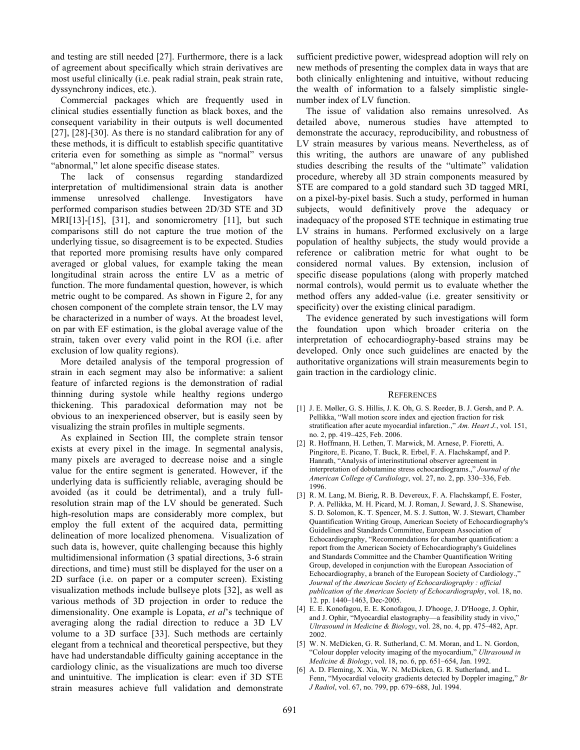and testing are still needed [27]. Furthermore, there is a lack of agreement about specifically which strain derivatives are most useful clinically (i.e. peak radial strain, peak strain rate, dyssynchrony indices, etc.).

Commercial packages which are frequently used in clinical studies essentially function as black boxes, and the consequent variability in their outputs is well documented [27], [28]-[30]. As there is no standard calibration for any of these methods, it is difficult to establish specific quantitative criteria even for something as simple as "normal" versus "abnormal," let alone specific disease states.

The lack of consensus regarding standardized interpretation of multidimensional strain data is another immense unresolved challenge. Investigators have performed comparison studies between 2D/3D STE and 3D MRI[13]-[15], [31], and sonomicrometry [11], but such comparisons still do not capture the true motion of the underlying tissue, so disagreement is to be expected. Studies that reported more promising results have only compared averaged or global values, for example taking the mean longitudinal strain across the entire LV as a metric of function. The more fundamental question, however, is which metric ought to be compared. As shown in Figure 2, for any chosen component of the complete strain tensor, the LV may be characterized in a number of ways. At the broadest level, on par with EF estimation, is the global average value of the strain, taken over every valid point in the ROI (i.e. after exclusion of low quality regions).

More detailed analysis of the temporal progression of strain in each segment may also be informative: a salient feature of infarcted regions is the demonstration of radial thinning during systole while healthy regions undergo thickening. This paradoxical deformation may not be obvious to an inexperienced observer, but is easily seen by visualizing the strain profiles in multiple segments.

As explained in Section III, the complete strain tensor exists at every pixel in the image. In segmental analysis, many pixels are averaged to decrease noise and a single value for the entire segment is generated. However, if the underlying data is sufficiently reliable, averaging should be avoided (as it could be detrimental), and a truly fullresolution strain map of the LV should be generated. Such high-resolution maps are considerably more complex, but employ the full extent of the acquired data, permitting delineation of more localized phenomena. Visualization of such data is, however, quite challenging because this highly multidimensional information (3 spatial directions, 3-6 strain directions, and time) must still be displayed for the user on a 2D surface (i.e. on paper or a computer screen). Existing visualization methods include bullseye plots [32], as well as various methods of 3D projection in order to reduce the dimensionality. One example is Lopata, *et al*'s technique of averaging along the radial direction to reduce a 3D LV volume to a 3D surface [33]. Such methods are certainly elegant from a technical and theoretical perspective, but they have had understandable difficulty gaining acceptance in the cardiology clinic, as the visualizations are much too diverse and unintuitive. The implication is clear: even if 3D STE strain measures achieve full validation and demonstrate sufficient predictive power, widespread adoption will rely on new methods of presenting the complex data in ways that are both clinically enlightening and intuitive, without reducing the wealth of information to a falsely simplistic singlenumber index of LV function.

The issue of validation also remains unresolved. As detailed above, numerous studies have attempted to demonstrate the accuracy, reproducibility, and robustness of LV strain measures by various means. Nevertheless, as of this writing, the authors are unaware of any published studies describing the results of the "ultimate" validation procedure, whereby all 3D strain components measured by STE are compared to a gold standard such 3D tagged MRI, on a pixel-by-pixel basis. Such a study, performed in human subjects, would definitively prove the adequacy or inadequacy of the proposed STE technique in estimating true LV strains in humans. Performed exclusively on a large population of healthy subjects, the study would provide a reference or calibration metric for what ought to be considered normal values. By extension, inclusion of specific disease populations (along with properly matched normal controls), would permit us to evaluate whether the method offers any added-value (i.e. greater sensitivity or specificity) over the existing clinical paradigm.

The evidence generated by such investigations will form the foundation upon which broader criteria on the interpretation of echocardiography-based strains may be developed. Only once such guidelines are enacted by the authoritative organizations will strain measurements begin to gain traction in the cardiology clinic.

#### **REFERENCES**

- [1] J. E. Møller, G. S. Hillis, J. K. Oh, G. S. Reeder, B. J. Gersh, and P. A. Pellikka, "Wall motion score index and ejection fraction for risk stratification after acute myocardial infarction.," *Am. Heart J.*, vol. 151, no. 2, pp. 419–425, Feb. 2006.
- [2] R. Hoffmann, H. Lethen, T. Marwick, M. Arnese, P. Fioretti, A. Pingitore, E. Picano, T. Buck, R. Erbel, F. A. Flachskampf, and P. Hanrath, "Analysis of interinstitutional observer agreement in interpretation of dobutamine stress echocardiograms.," *Journal of the American College of Cardiology*, vol. 27, no. 2, pp. 330–336, Feb. 1996.
- [3] R. M. Lang, M. Bierig, R. B. Devereux, F. A. Flachskampf, E. Foster, P. A. Pellikka, M. H. Picard, M. J. Roman, J. Seward, J. S. Shanewise, S. D. Solomon, K. T. Spencer, M. S. J. Sutton, W. J. Stewart, Chamber Quantification Writing Group, American Society of Echocardiography's Guidelines and Standards Committee, European Association of Echocardiography, "Recommendations for chamber quantification: a report from the American Society of Echocardiography's Guidelines and Standards Committee and the Chamber Quantification Writing Group, developed in conjunction with the European Association of Echocardiography, a branch of the European Society of Cardiology.," *Journal of the American Society of Echocardiography : official publication of the American Society of Echocardiography*, vol. 18, no. 12. pp. 1440–1463, Dec-2005.
- [4] E. E. Konofagou, E. E. Konofagou, J. D'hooge, J. D'Hooge, J. Ophir, and J. Ophir, "Myocardial elastography—a feasibility study in vivo," *Ultrasound in Medicine & Biology*, vol. 28, no. 4, pp. 475–482, Apr. 2002.
- [5] W. N. McDicken, G. R. Sutherland, C. M. Moran, and L. N. Gordon, "Colour doppler velocity imaging of the myocardium," *Ultrasound in Medicine & Biology*, vol. 18, no. 6, pp. 651–654, Jan. 1992.
- [6] A. D. Fleming, X. Xia, W. N. McDicken, G. R. Sutherland, and L. Fenn, "Myocardial velocity gradients detected by Doppler imaging," *Br J Radiol*, vol. 67, no. 799, pp. 679–688, Jul. 1994.